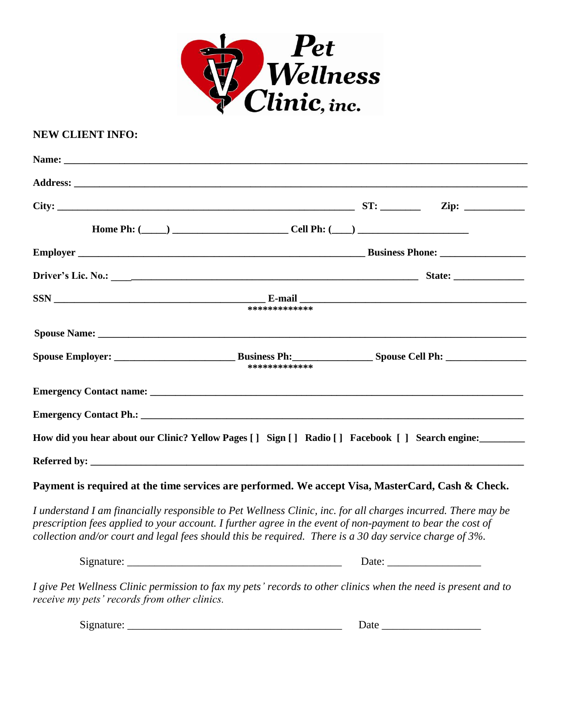

## **NEW CLIENT INFO:**

|                                                                                                                                                                                                                                                                                                                                            | ************* |             |  |  |  |  |
|--------------------------------------------------------------------------------------------------------------------------------------------------------------------------------------------------------------------------------------------------------------------------------------------------------------------------------------------|---------------|-------------|--|--|--|--|
|                                                                                                                                                                                                                                                                                                                                            |               |             |  |  |  |  |
|                                                                                                                                                                                                                                                                                                                                            | ************* |             |  |  |  |  |
|                                                                                                                                                                                                                                                                                                                                            |               |             |  |  |  |  |
|                                                                                                                                                                                                                                                                                                                                            |               |             |  |  |  |  |
| How did you hear about our Clinic? Yellow Pages [] Sign [] Radio [] Facebook [] Search engine:                                                                                                                                                                                                                                             |               |             |  |  |  |  |
|                                                                                                                                                                                                                                                                                                                                            |               |             |  |  |  |  |
| Payment is required at the time services are performed. We accept Visa, MasterCard, Cash & Check.                                                                                                                                                                                                                                          |               |             |  |  |  |  |
| I understand I am financially responsible to Pet Wellness Clinic, inc. for all charges incurred. There may be<br>prescription fees applied to your account. I further agree in the event of non-payment to bear the cost of<br>collection and/or court and legal fees should this be required. There is a 30 day service charge of $3\%$ . |               |             |  |  |  |  |
|                                                                                                                                                                                                                                                                                                                                            |               |             |  |  |  |  |
| I give Pet Wellness Clinic permission to fax my pets' records to other clinics when the need is present and to<br>receive my pets' records from other clinics.                                                                                                                                                                             |               |             |  |  |  |  |
|                                                                                                                                                                                                                                                                                                                                            |               | Date $\_\_$ |  |  |  |  |